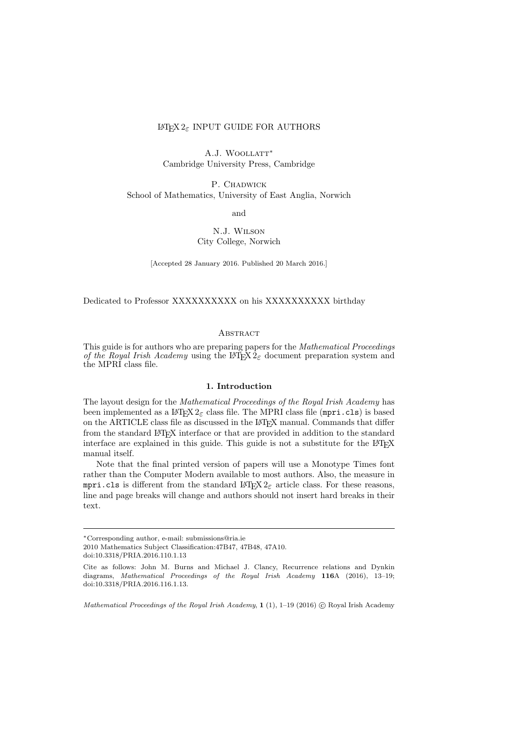# LATEX 2*ε* INPUT GUIDE FOR AUTHORS

A.J. Woollatt*<sup>∗</sup>* Cambridge University Press, Cambridge

P. CHADWICK School of Mathematics, University of East Anglia, Norwich

and

N.J. Wilson City College, Norwich

[Accepted 28 January 2016. Published 20 March 2016.]

Dedicated to Professor XXXXXXXXXX on his XXXXXXXXXX birthday

#### **ABSTRACT**

This guide is for authors who are preparing papers for the *Mathematical Proceedings of the Royal Irish Academy* using the LAT<sub>E</sub>X  $2_{\varepsilon}$  document preparation system and the MPRI class file.

#### **1. Introduction**

The layout design for the *Mathematical Proceedings of the Royal Irish Academy* has been implemented as a  $\text{LATEX } 2\varepsilon$  class file. The MPRI class file (mpri.cls) is based on the ARTICLE class file as discussed in the LAT<sub>E</sub>X manual. Commands that differ from the standard LAT<sub>EX</sub> interface or that are provided in addition to the standard interface are explained in this guide. This guide is not a substitute for the  $L^2T_FX$ manual itself.

Note that the final printed version of papers will use a Monotype Times font rather than the Computer Modern available to most authors. Also, the measure in mpri.cls is different from the standard  $\mathbb{E} T_F X 2_\varepsilon$  article class. For these reasons, line and page breaks will change and authors should not insert hard breaks in their text.

2010 Mathematics Subject Classification:47B47, 47B48, 47A10.

*Mathematical Proceedings of the Royal Irish Academy,* **1** (1), 1–19 (2016)  $\circled{c}$  Royal Irish Academy

*<sup>∗</sup>*Corresponding author, e-mail: submissions@ria.ie

doi:10.3318/PRIA.2016.110.1.13

Cite as follows: John M. Burns and Michael J. Clancy, Recurrence relations and Dynkin diagrams, *Mathematical Proceedings of the Royal Irish Academy* **116**A (2016), 13–19; doi:10.3318/PRIA.2016.116.1.13.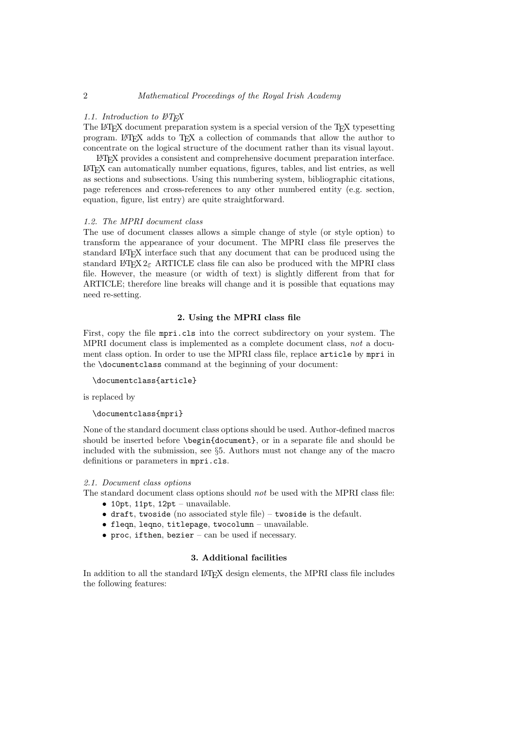#### *1.1. Introduction to LATEX*

The LATEX document preparation system is a special version of the TEX typesetting program. LATEX adds to TEX a collection of commands that allow the author to concentrate on the logical structure of the document rather than its visual layout.

LATEX provides a consistent and comprehensive document preparation interface. LATEX can automatically number equations, figures, tables, and list entries, as well as sections and subsections. Using this numbering system, bibliographic citations, page references and cross-references to any other numbered entity (e.g. section, equation, figure, list entry) are quite straightforward.

## *1.2. The MPRI document class*

The use of document classes allows a simple change of style (or style option) to transform the appearance of your document. The MPRI class file preserves the standard LATEX interface such that any document that can be produced using the standard L<sup>AT</sup>EX 2<sub>ε</sub> ARTICLE class file can also be produced with the MPRI class file. However, the measure (or width of text) is slightly different from that for ARTICLE; therefore line breaks will change and it is possible that equations may need re-setting.

# **2. Using the MPRI class file**

First, copy the file mpri.cls into the correct subdirectory on your system. The MPRI document class is implemented as a complete document class, *not* a document class option. In order to use the MPRI class file, replace article by mpri in the \documentclass command at the beginning of your document:

```
\documentclass{article}
```
is replaced by

```
\documentclass{mpri}
```
None of the standard document class options should be used. Author-defined macros should be inserted before \begin{document}, or in a separate file and should be included with the submission, see *§*5. Authors must not change any of the macro definitions or parameters in mpri.cls.

#### *2.1. Document class options*

The standard document class options should *not* be used with the MPRI class file:

- *•* 10pt, 11pt, 12pt unavailable.
- *•* draft, twoside (no associated style file) twoside is the default.
- *•* fleqn, leqno, titlepage, twocolumn unavailable.
- *•* proc, ifthen, bezier can be used if necessary.

# **3. Additional facilities**

In addition to all the standard LATEX design elements, the MPRI class file includes the following features: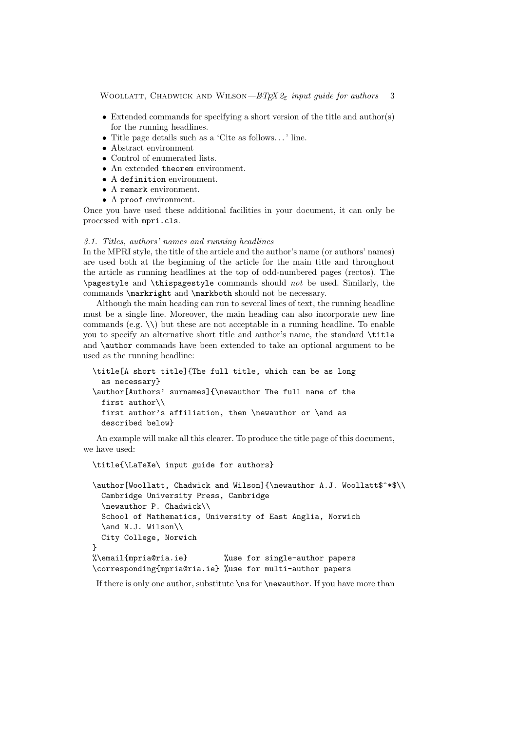- Extended commands for specifying a short version of the title and author(s) for the running headlines.
- *•* Title page details such as a 'Cite as follows. . . ' line.
- *•* Abstract environment
- *•* Control of enumerated lists.
- An extended theorem environment.
- *•* A definition environment.
- A remark environment.
- *•* A proof environment.

Once you have used these additional facilities in your document, it can only be processed with mpri.cls.

# *3.1. Titles, authors' names and running headlines*

In the MPRI style, the title of the article and the author's name (or authors' names) are used both at the beginning of the article for the main title and throughout the article as running headlines at the top of odd-numbered pages (rectos). The \pagestyle and \thispagestyle commands should *not* be used. Similarly, the commands \markright and \markboth should not be necessary.

Although the main heading can run to several lines of text, the running headline must be a single line. Moreover, the main heading can also incorporate new line commands (e.g.  $\setminus \setminus$ ) but these are not acceptable in a running headline. To enable you to specify an alternative short title and author's name, the standard \title and **\author** commands have been extended to take an optional argument to be used as the running headline:

```
\title[A short title]{The full title, which can be as long
  as necessary}
\author[Authors' surnames]{\newauthor The full name of the
  first author\\
 first author's affiliation, then \newauthor or \and as
  described below}
```
An example will make all this clearer. To produce the title page of this document, we have used:

\title{\LaTeXe\ input guide for authors}

```
\author[Woollatt, Chadwick and Wilson]{\newauthor A.J. Woollatt$^*$\\
 Cambridge University Press, Cambridge
  \newauthor P. Chadwick\\
 School of Mathematics, University of East Anglia, Norwich
  \and N.J. Wilson\\
 City College, Norwich
}
%\email{mpria@ria.ie} %use for single-author papers
\corresponding{mpria@ria.ie} %use for multi-author papers
```
If there is only one author, substitute \ns for \newauthor. If you have more than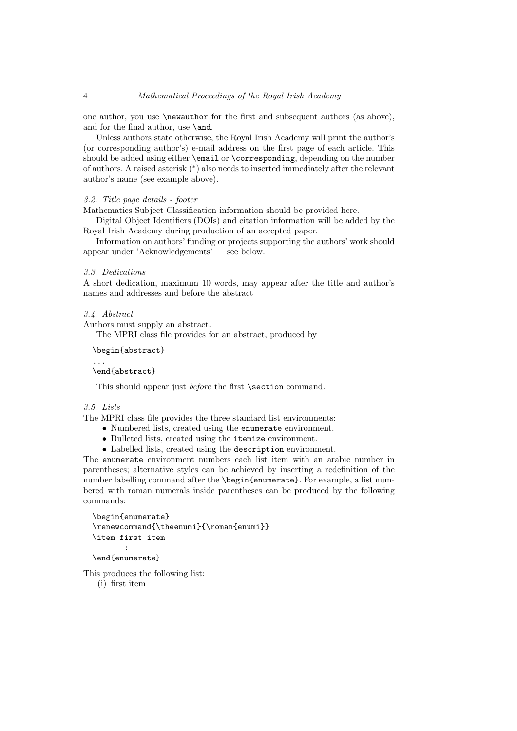one author, you use \newauthor for the first and subsequent authors (as above), and for the final author, use **\and.** 

Unless authors state otherwise, the Royal Irish Academy will print the author's (or corresponding author's) e-mail address on the first page of each article. This should be added using either \email or \corresponding, depending on the number of authors. A raised asterisk (*<sup>∗</sup>* ) also needs to inserted immediately after the relevant author's name (see example above).

# *3.2. Title page details - footer*

Mathematics Subject Classification information should be provided here.

Digital Object Identifiers (DOIs) and citation information will be added by the Royal Irish Academy during production of an accepted paper.

Information on authors' funding or projects supporting the authors' work should appear under 'Acknowledgements' — see below.

#### *3.3. Dedications*

A short dedication, maximum 10 words, may appear after the title and author's names and addresses and before the abstract

## *3.4. Abstract*

Authors must supply an abstract.

The MPRI class file provides for an abstract, produced by

\begin{abstract}

\end{abstract}

This should appear just *before* the first **\section** command.

## *3.5. Lists*

...

The MPRI class file provides the three standard list environments:

- *•* Numbered lists, created using the enumerate environment.
- *•* Bulleted lists, created using the itemize environment.
- *•* Labelled lists, created using the description environment.

The enumerate environment numbers each list item with an arabic number in parentheses; alternative styles can be achieved by inserting a redefinition of the number labelling command after the \begin{enumerate}. For example, a list numbered with roman numerals inside parentheses can be produced by the following commands:

```
\begin{enumerate}
\renewcommand{\theenumi}{\roman{enumi}}
\item first item
       :
```

```
\end{enumerate}
```
This produces the following list:

(i) first item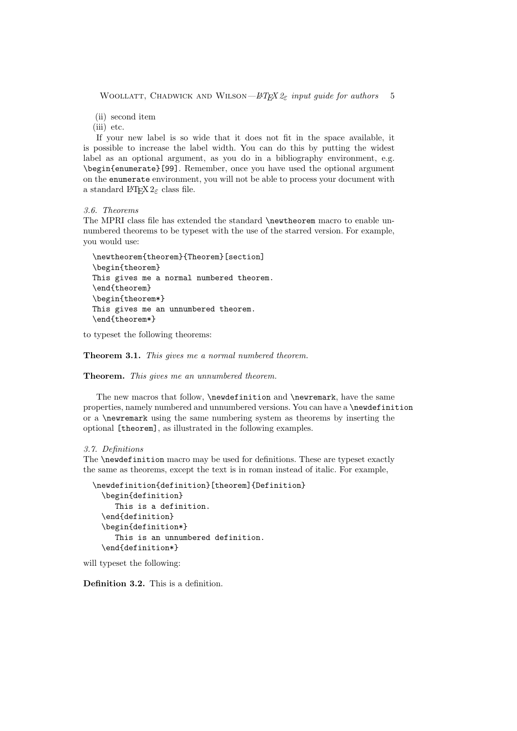(ii) second item

(iii) etc.

If your new label is so wide that it does not fit in the space available, it is possible to increase the label width. You can do this by putting the widest label as an optional argument, as you do in a bibliography environment, e.g. \begin{enumerate}[99]. Remember, once you have used the optional argument on the enumerate environment, you will not be able to process your document with a standard LATEX 2*ε* class file.

*3.6. Theorems*

The MPRI class file has extended the standard \newtheorem macro to enable unnumbered theorems to be typeset with the use of the starred version. For example, you would use:

```
\newtheorem{theorem}{Theorem}[section]
\begin{theorem}
This gives me a normal numbered theorem.
\end{theorem}
\begin{theorem*}
This gives me an unnumbered theorem.
\end{theorem*}
```
to typeset the following theorems:

**Theorem 3.1.** *This gives me a normal numbered theorem.*

**Theorem.** *This gives me an unnumbered theorem.*

The new macros that follow, \newdefinition and \newremark, have the same properties, namely numbered and unnumbered versions. You can have a \newdefinition or a \newremark using the same numbering system as theorems by inserting the optional [theorem], as illustrated in the following examples.

#### *3.7. Definitions*

The **\newdefinition** macro may be used for definitions. These are typeset exactly the same as theorems, except the text is in roman instead of italic. For example,

```
\newdefinition{definition}[theorem]{Definition}
  \begin{definition}
     This is a definition.
  \end{definition}
  \begin{definition*}
     This is an unnumbered definition.
  \end{definition*}
```
will typeset the following:

**Definition 3.2.** This is a definition.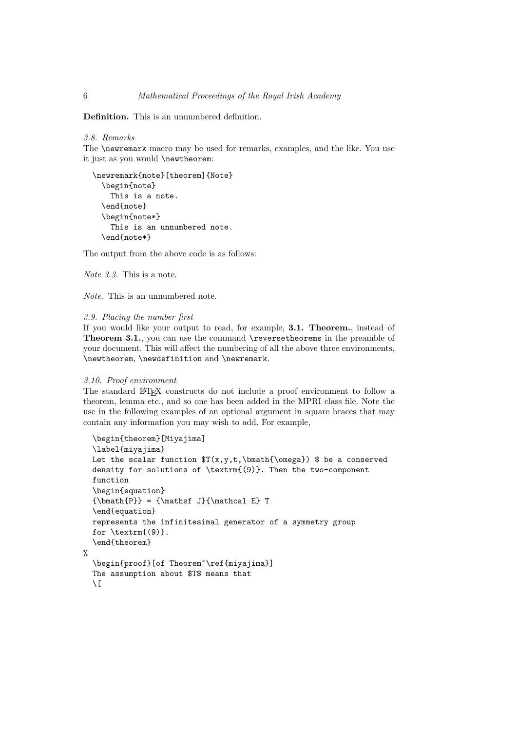**Definition.** This is an unnumbered definition.

```
3.8. Remarks
```
The \newremark macro may be used for remarks, examples, and the like. You use it just as you would \newtheorem:

```
\newremark{note}[theorem]{Note}
 \begin{note}
    This is a note.
  \end{note}
 \begin{note*}
    This is an unnumbered note.
  \end{note*}
```
The output from the above code is as follows:

*Note 3.3.* This is a note.

*Note.* This is an unnumbered note.

# *3.9. Placing the number first*

If you would like your output to read, for example, **3.1. Theorem.**, instead of **Theorem 3.1.**, you can use the command **\reversetheorems** in the preamble of your document. This will affect the numbering of all the above three environments, \newtheorem, \newdefinition and \newremark.

## *3.10. Proof environment*

The standard LAT<sub>EX</sub> constructs do not include a proof environment to follow a theorem, lemma etc., and so one has been added in the MPRI class file. Note the use in the following examples of an optional argument in square braces that may contain any information you may wish to add. For example,

```
\begin{theorem}[Miyajima]
  \label{miyajima}
 Let the scalar function T(x,y,t,\b \neq 1) $ be a conserved
 density for solutions of \textrm{(9)}. Then the two-component
 function
  \begin{equation}
  {\bm{P}} = {\mathsf{J}}{\mathsf{R}}\end{equation}
 represents the infinitesimal generator of a symmetry group
 for \text{if} (9).
  \end{theorem}
%
  \begin{proof}[of Theorem~\ref{miyajima}]
 The assumption about $T$ means that
  \setminus[
```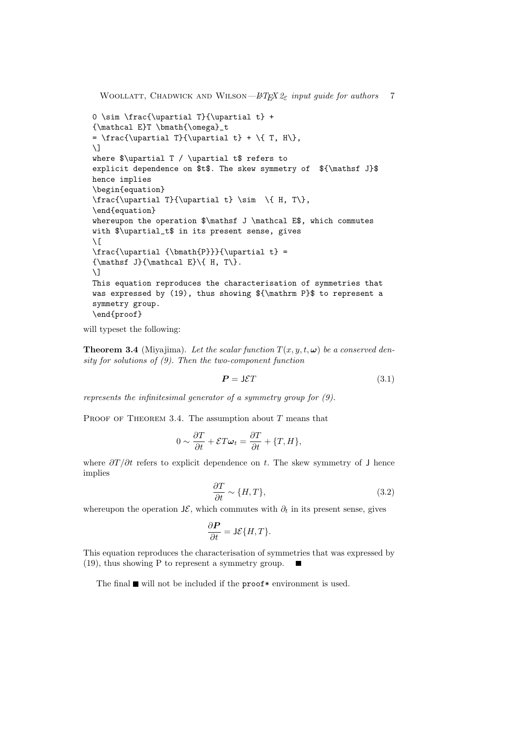```
Woollatt, Chadwick and Wilson—LATEX 2ε input guide for authors 7
0 \sim \frac{\upartial T}{\upartial t} +
{\mathcal E}T \bmath{\omega}_t
= \frac{\upartial T}{\upartial t} + \{ T, H\},
\setminus]
where $\upartial T / \upartial t$ refers to
explicit dependence on t. The skew symmetry of \{\mathcal{J}\hence implies
\begin{equation}
\frac{\uparrow}{\uparrow} \frac{\upartial T}{\upartial t} \sim \{ H, T\},
\end{equation}
whereupon the operation $\mathsf J \mathcal E$, which commutes
with $\upartial_t$ in its present sense, gives
\setminus[
\frac{\uparrow \{\bmath{P}}}{\uparrow \}{\mathsf J}({\mathcal E}\({ H, T)\}.\setminus]
This equation reproduces the characterisation of symmetries that
was expressed by (19), thus showing ${\mathrm P}$ to represent a
symmetry group.
\end{proof}
```
will typeset the following:

**Theorem 3.4** (Miyajima). Let the scalar function  $T(x, y, t, \omega)$  be a conserved den*sity for solutions of (9). Then the two-component function*

$$
P = J\mathcal{E}T \tag{3.1}
$$

*represents the infinitesimal generator of a symmetry group for (9).*

PROOF OF THEOREM 3.4. The assumption about *T* means that

$$
0 \sim \frac{\partial T}{\partial t} + \mathcal{E} T \boldsymbol{\omega}_t = \frac{\partial T}{\partial t} + \{T, H\},\
$$

where *∂T /∂t* refers to explicit dependence on *t*. The skew symmetry of J hence implies

$$
\frac{\partial T}{\partial t} \sim \{H, T\},\tag{3.2}
$$

whereupon the operation  $J\mathcal{E}$ , which commutes with  $\partial_t$  in its present sense, gives

$$
\frac{\partial \boldsymbol{P}}{\partial t} = \mathsf{J}\mathcal{E}\{H,T\}.
$$

This equation reproduces the characterisation of symmetries that was expressed by (19), thus showing P to represent a symmetry group. п

The final  $\blacksquare$  will not be included if the proof\* environment is used.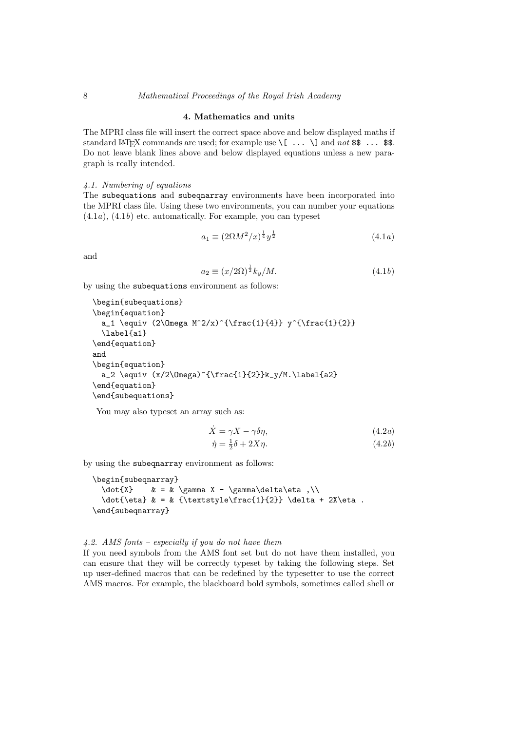# 8 *Mathematical Proceedings of the Royal Irish Academy*

# **4. Mathematics and units**

The MPRI class file will insert the correct space above and below displayed maths if standard LAT<sub>EX</sub> commands are used; for example use  $\{ \ldots \}$  and *not* \$\$ ... \$\$. Do not leave blank lines above and below displayed equations unless a new paragraph is really intended.

## *4.1. Numbering of equations*

The subequations and subeqnarray environments have been incorporated into the MPRI class file. Using these two environments, you can number your equations (4.1*a*), (4.1*b*) etc. automatically. For example, you can typeset

$$
a_1 \equiv (2\Omega M^2/x)^{\frac{1}{4}} y^{\frac{1}{2}} \tag{4.1a}
$$

and

$$
a_2 \equiv (x/2\Omega)^{\frac{1}{2}} k_y / M. \tag{4.1b}
$$

by using the subequations environment as follows:

```
\begin{subequations}
\begin{equation}
  a_1 \equiv (2\Omega M^2/x)^{\frac{1}{4}} y^{\frac{1}{2}}\label{a1}
\end{equation}
and
\begin{equation}
  a_2 \equiv (x/2\Omega)^{\frac{1}{2}}k_y/M.\label{eq:2}\end{equation}
\end{subequations}
```
You may also typeset an array such as:

$$
\dot{X} = \gamma X - \gamma \delta \eta,
$$
\n
$$
\dot{\eta} = \frac{1}{2}\delta + 2X\eta.
$$
\n(4.2*a*)

by using the subeqnarray environment as follows:

```
\begin{subeqnarray}
  \dot{X} & = & \gamma X - \gamma\delta\eta ,\\
  \dot{\text{} k = k {\textstytle} \frac{1}{2}} \delta + 2X\eta.
\end{subeqnarray}
```
#### *4.2. AMS fonts – especially if you do not have them*

If you need symbols from the AMS font set but do not have them installed, you can ensure that they will be correctly typeset by taking the following steps. Set up user-defined macros that can be redefined by the typesetter to use the correct AMS macros. For example, the blackboard bold symbols, sometimes called shell or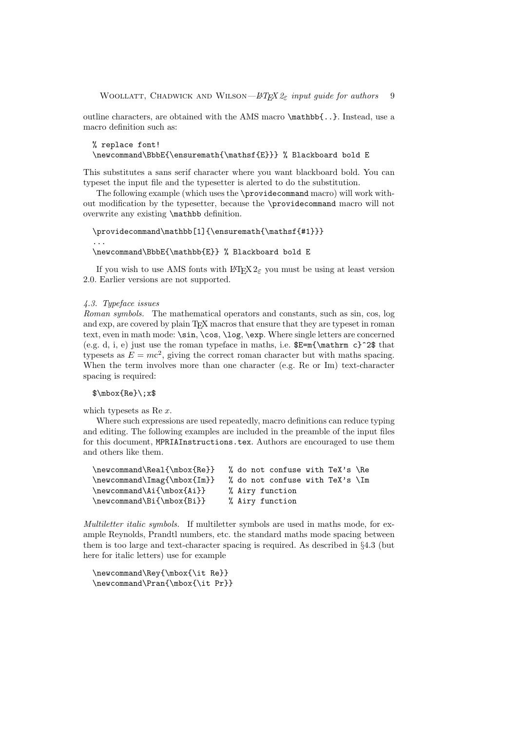outline characters, are obtained with the AMS macro \mathbb{..}. Instead, use a macro definition such as:

```
% replace font!
\newcommand\BbbE{\ensuremath{\mathsf{E}}} % Blackboard bold E
```
This substitutes a sans serif character where you want blackboard bold. You can typeset the input file and the typesetter is alerted to do the substitution.

The following example (which uses the \providecommand macro) will work without modification by the typesetter, because the \providecommand macro will not overwrite any existing \mathbb definition.

```
\providecommand\mathbb[1]{\ensuremath{\mathsf{#1}}}
...
\newcommand\BbbE{\mathbb{E}} % Blackboard bold E
```
If you wish to use AMS fonts with  $\text{LATEX } 2\varepsilon$  you must be using at least version 2.0. Earlier versions are not supported.

## *4.3. Typeface issues*

*Roman symbols.* The mathematical operators and constants, such as sin, cos, log and exp, are covered by plain T<sub>E</sub>X macros that ensure that they are typeset in roman text, even in math mode: \sin, \cos, \log, \exp. Where single letters are concerned (e.g. d, i, e) just use the roman typeface in maths, i.e.  $E=m{\mathcal{N}}$  that typesets as  $E = mc^2$ , giving the correct roman character but with maths spacing. When the term involves more than one character (e.g. Re or Im) text-character spacing is required:

\$\mbox{Re}\;x\$

which typesets as Re *x*.

Where such expressions are used repeatedly, macro definitions can reduce typing and editing. The following examples are included in the preamble of the input files for this document, MPRIAInstructions.tex. Authors are encouraged to use them and others like them.

| % do not confuse with TeX's \Re |
|---------------------------------|
| % do not confuse with TeX's \Im |
| % Airy function                 |
| % Airy function                 |
|                                 |

*Multiletter italic symbols.* If multiletter symbols are used in maths mode, for example Reynolds, Prandtl numbers, etc. the standard maths mode spacing between them is too large and text-character spacing is required. As described in *§*4.3 (but here for italic letters) use for example

\newcommand\Rey{\mbox{\it Re}} \newcommand\Pran{\mbox{\it Pr}}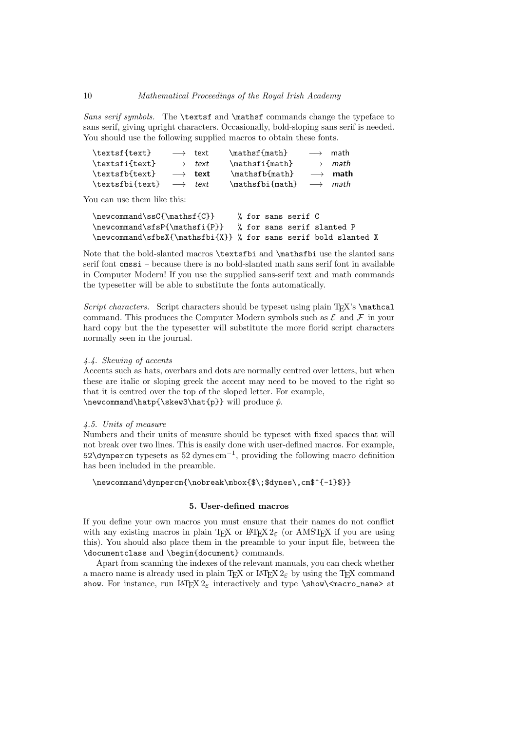*Sans serif symbols.* The \textsf and \mathsf commands change the typeface to sans serif, giving upright characters. Occasionally, bold-sloping sans serif is needed. You should use the following supplied macros to obtain these fonts.

| \textsf{text}   |                        | $\longrightarrow$ text | \mathsf{math}   | $\longrightarrow$ | math                   |
|-----------------|------------------------|------------------------|-----------------|-------------------|------------------------|
| \textsfi{text}  |                        | $\longrightarrow$ text | \mathsfi{math}  |                   | $\longrightarrow$ math |
| \textsfb{text}  |                        | $\longrightarrow$ text | \mathsfb{math}  |                   | $\longrightarrow$ math |
| \textsfbi{text} | $\longrightarrow$ text |                        | \mathsfbi{math} |                   | $\longrightarrow$ math |

You can use them like this:

```
\newcommand\ssC{\mathsf{C}} % for sans serif C
\newcommand\sfsP{\mathsfi{P}} % for sans serif slanted P
\newcommand\sfbsX{\mathsfbi{X}} % for sans serif bold slanted X
```
Note that the bold-slanted macros \textsfbi and \mathsfbi use the slanted sans serif font cmssi – because there is no bold-slanted math sans serif font in available in Computer Modern! If you use the supplied sans-serif text and math commands the typesetter will be able to substitute the fonts automatically.

*Script characters.* Script characters should be typeset using plain T<sub>E</sub>X's \mathcal command. This produces the Computer Modern symbols such as  $\mathcal E$  and  $\mathcal F$  in your hard copy but the the typesetter will substitute the more florid script characters normally seen in the journal.

#### *4.4. Skewing of accents*

Accents such as hats, overbars and dots are normally centred over letters, but when these are italic or sloping greek the accent may need to be moved to the right so that it is centred over the top of the sloped letter. For example,  $\newcommand{\hatt}{\sf\s'new3\hat{p}}$  will produce  $\hat{p}$ .

## *4.5. Units of measure*

Numbers and their units of measure should be typeset with fixed spaces that will not break over two lines. This is easily done with user-defined macros. For example, 52\dynpercm typesets as 52 dynes cm*−*<sup>1</sup> , providing the following macro definition has been included in the preamble.

\newcommand\dynpercm{\nobreak\mbox{\$\;\$dynes\,cm\$^{-1}\$}}

## **5. User-defined macros**

If you define your own macros you must ensure that their names do not conflict with any existing macros in plain T<sub>E</sub>X or L<sup>AT</sup>EX 2<sub>*ε*</sub> (or AMSTEX if you are using this). You should also place them in the preamble to your input file, between the \documentclass and \begin{document} commands.

Apart from scanning the indexes of the relevant manuals, you can check whether a macro name is already used in plain T<sub>E</sub>X or L<sup>AT</sup>EX 2<sub> $\varepsilon$ </sub> by using the TEX command show. For instance, run L<sup>AT</sup>EX  $2\varepsilon$  interactively and type \show\<macro\_name> at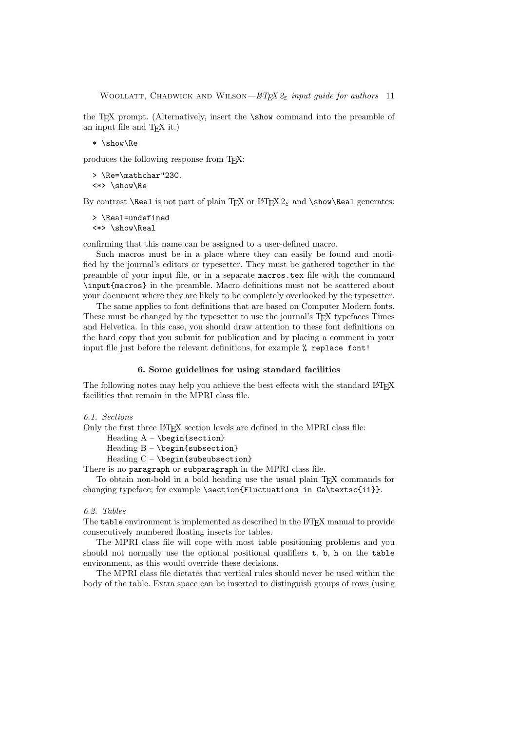the TEX prompt. (Alternatively, insert the \show command into the preamble of an input file and T<sub>E</sub>X it.)

\* \show\Re

produces the following response from TEX:

```
> \Re=\mathchar"23C.
<*> \show\Re
```
By contrast **\Real** is not part of plain T<sub>E</sub>X or LAT<sub>E</sub>X 2<sub> $\varepsilon$ </sub> and **\show\Real** generates:

```
> \Real=undefined
<*> \show\Real
```
confirming that this name can be assigned to a user-defined macro.

Such macros must be in a place where they can easily be found and modified by the journal's editors or typesetter. They must be gathered together in the preamble of your input file, or in a separate macros.tex file with the command \input{macros} in the preamble. Macro definitions must not be scattered about your document where they are likely to be completely overlooked by the typesetter.

The same applies to font definitions that are based on Computer Modern fonts. These must be changed by the typesetter to use the journal's T<sub>E</sub>X typefaces Times and Helvetica. In this case, you should draw attention to these font definitions on the hard copy that you submit for publication and by placing a comment in your input file just before the relevant definitions, for example % replace font!

#### **6. Some guidelines for using standard facilities**

The following notes may help you achieve the best effects with the standard LATEX facilities that remain in the MPRI class file.

```
6.1. Sections
```
Only the first three LAT<sub>EX</sub> section levels are defined in the MPRI class file:

Heading  $A - \begin{bmatrix} s & \cdots & s \end{bmatrix}$ 

Heading B - \begin{subsection}

Heading  $C - \begin{bmatrix}subsubstack$ 

There is no paragraph or subparagraph in the MPRI class file.

To obtain non-bold in a bold heading use the usual plain TEX commands for changing typeface; for example \section{Fluctuations in Ca\textsc{ii}}.

#### *6.2. Tables*

The table environment is implemented as described in the LAT<sub>EX</sub> manual to provide consecutively numbered floating inserts for tables.

The MPRI class file will cope with most table positioning problems and you should not normally use the optional positional qualifiers t, b, h on the table environment, as this would override these decisions.

The MPRI class file dictates that vertical rules should never be used within the body of the table. Extra space can be inserted to distinguish groups of rows (using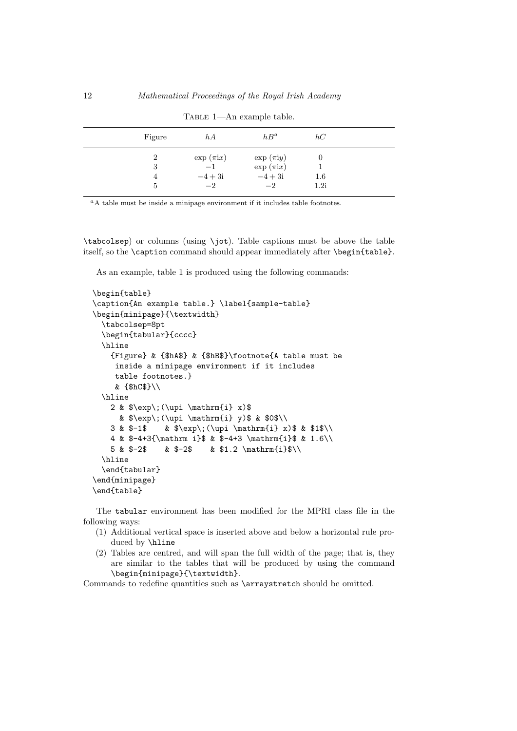| $h\overline{A}$<br>Figure     | $hB^a$                   | hC      |  |
|-------------------------------|--------------------------|---------|--|
| $\exp(\pi \mathrm{i} x)$<br>2 | $\exp(\pi i y)$          | U       |  |
| $-1$<br>3                     | $\exp(\pi \mathrm{i} x)$ |         |  |
| $-4+3i$<br>4                  | $-4+3i$                  | $1.6\,$ |  |
| $-2$<br>5                     | $-2$                     | 1.2i    |  |

Table 1—An example table.

*<sup>a</sup>*A table must be inside a minipage environment if it includes table footnotes.

\tabcolsep) or columns (using \jot). Table captions must be above the table itself, so the \caption command should appear immediately after \begin{table}.

As an example, table 1 is produced using the following commands:

```
\begin{table}
\caption{An example table.} \label{sample-table}
\begin{minipage}{\textwidth}
  \tabcolsep=8pt
  \begin{tabular}{cccc}
  \hline
    {Figure} & {$hA$} & {$hB$}\footnote{A table must be
     inside a minipage environment if it includes
     table footnotes.}
    & {$hC$}\\
  \hline
    2 & \text{y}(\uparrow \mathbf{i} x)& \exp\;\(\uparrow\ \mathbf{i} \ y)\ & \0\3 & $-1$ & $\exp\;(\upi \mathrm{i} x)$ & $1$\\
    4 & $-4+3{\mathrm i}$ & $-4+3 \mathrm{i}$ & 1.6\\
    5 & $-2$ & $-2$ & $1.2 \mathrm{i}$\\
  \hline
  \end{tabular}
\end{minipage}
\end{table}
```
The tabular environment has been modified for the MPRI class file in the following ways:

- (1) Additional vertical space is inserted above and below a horizontal rule produced by \hline
- (2) Tables are centred, and will span the full width of the page; that is, they are similar to the tables that will be produced by using the command \begin{minipage}{\textwidth}.

Commands to redefine quantities such as \arraystretch should be omitted.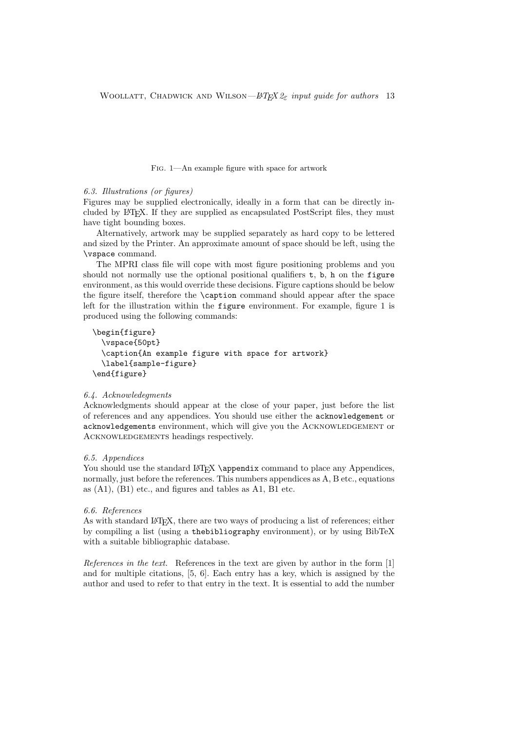Fig. 1—An example figure with space for artwork

#### *6.3. Illustrations (or figures)*

Figures may be supplied electronically, ideally in a form that can be directly included by LATEX. If they are supplied as encapsulated PostScript files, they must have tight bounding boxes.

Alternatively, artwork may be supplied separately as hard copy to be lettered and sized by the Printer. An approximate amount of space should be left, using the \vspace command.

The MPRI class file will cope with most figure positioning problems and you should not normally use the optional positional qualifiers  $t$ ,  $b$ ,  $h$  on the figure environment, as this would override these decisions. Figure captions should be below the figure itself, therefore the \caption command should appear after the space left for the illustration within the figure environment. For example, figure 1 is produced using the following commands:

```
\begin{figure}
  \vspace{50pt}
  \caption{An example figure with space for artwork}
  \label{sample-figure}
\end{figure}
```
# *6.4. Acknowledegments*

Acknowledgments should appear at the close of your paper, just before the list of references and any appendices. You should use either the acknowledgement or acknowledgements environment, which will give you the Acknowledgement or ACKNOWLEDGEMENTS headings respectively.

#### *6.5. Appendices*

You should use the standard LATEX \appendix command to place any Appendices, normally, just before the references. This numbers appendices as A, B etc., equations as (A1), (B1) etc., and figures and tables as A1, B1 etc.

#### *6.6. References*

As with standard LAT<sub>EX</sub>, there are two ways of producing a list of references; either by compiling a list (using a thebibliography environment), or by using BibTeX with a suitable bibliographic database.

*References in the text.* References in the text are given by author in the form [1] and for multiple citations, [5, 6]. Each entry has a key, which is assigned by the author and used to refer to that entry in the text. It is essential to add the number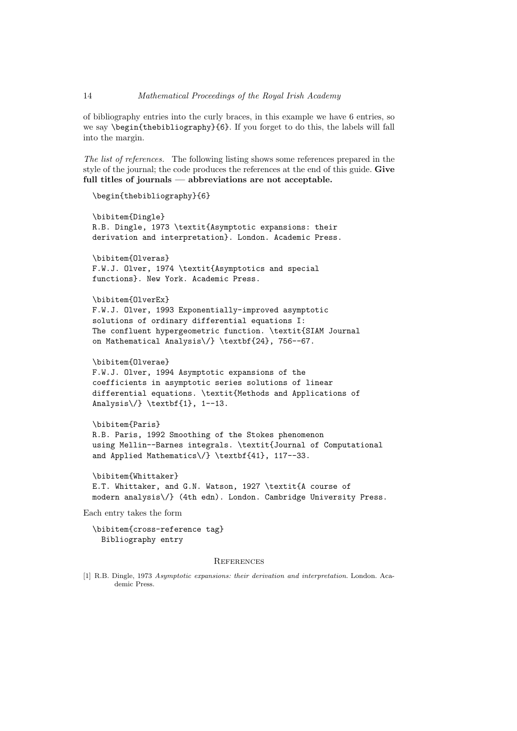of bibliography entries into the curly braces, in this example we have 6 entries, so we say \begin{thebibliography}{6}. If you forget to do this, the labels will fall into the margin.

*The list of references.* The following listing shows some references prepared in the style of the journal; the code produces the references at the end of this guide. **Give full titles of journals — abbreviations are not acceptable.**

```
\begin{thebibliography}{6}
```

```
\bibitem{Dingle}
R.B. Dingle, 1973 \textit{Asymptotic expansions: their
derivation and interpretation}. London. Academic Press.
```

```
\bibitem{Olveras}
F.W.J. Olver, 1974 \textit{Asymptotics and special
functions}. New York. Academic Press.
```

```
\bibitem{OlverEx}
```

```
F.W.J. Olver, 1993 Exponentially-improved asymptotic
solutions of ordinary differential equations I:
The confluent hypergeometric function. \textit{SIAM Journal
on Mathematical Analysis\/} \textbf{24}, 756--67.
```

```
\bibitem{Olverae}
```

```
F.W.J. Olver, 1994 Asymptotic expansions of the
coefficients in asymptotic series solutions of linear
differential equations. \textit{Methods and Applications of
Analysis\/} \textbf{1}, 1--13.
```

```
\bibitem{Paris}
R.B. Paris, 1992 Smoothing of the Stokes phenomenon
using Mellin--Barnes integrals. \textit{Journal of Computational
and Applied Mathematics\/} \textbf{41}, 117--33.
```

```
\bibitem{Whittaker}
E.T. Whittaker, and G.N. Watson, 1927 \textit{A course of
modern analysis\/} (4th edn). London. Cambridge University Press.
```
Each entry takes the form

\bibitem{cross-reference tag} Bibliography entry

#### **REFERENCES**

[1] R.B. Dingle, 1973 *Asymptotic expansions: their derivation and interpretation*. London. Academic Press.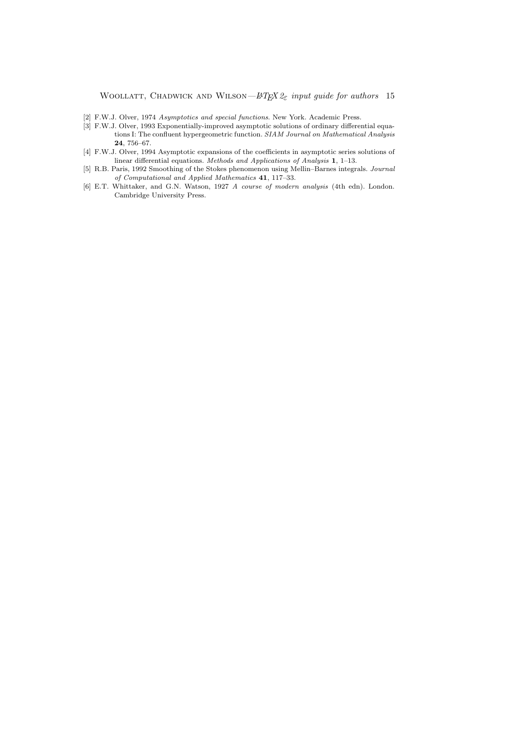- [2] F.W.J. Olver, 1974 *Asymptotics and special functions*. New York. Academic Press.
- [3] F.W.J. Olver, 1993 Exponentially-improved asymptotic solutions of ordinary differential equations I: The confluent hypergeometric function. *SIAM Journal on Mathematical Analysis* **24**, 756–67.
- [4] F.W.J. Olver, 1994 Asymptotic expansions of the coefficients in asymptotic series solutions of linear differential equations. *Methods and Applications of Analysis* **1**, 1–13.
- [5] R.B. Paris, 1992 Smoothing of the Stokes phenomenon using Mellin–Barnes integrals. *Journal of Computational and Applied Mathematics* **41**, 117–33.
- [6] E.T. Whittaker, and G.N. Watson, 1927 *A course of modern analysis* (4th edn). London. Cambridge University Press.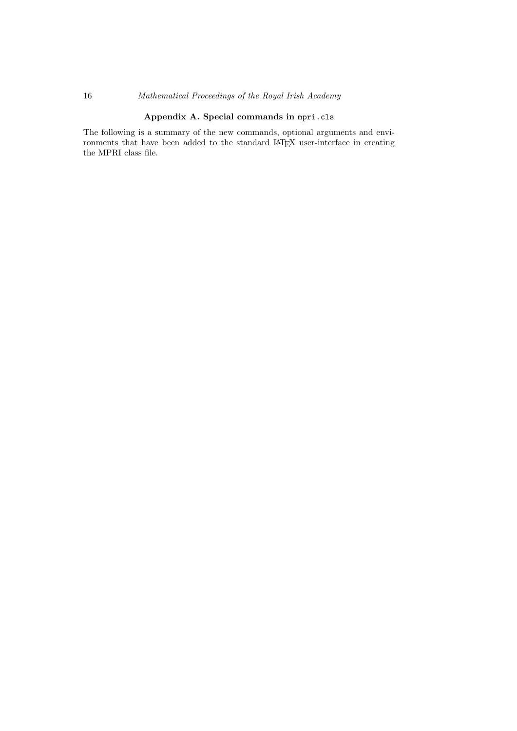# 16 *Mathematical Proceedings of the Royal Irish Academy*

# **Appendix A. Special commands in** mpri.cls

The following is a summary of the new commands, optional arguments and environments that have been added to the standard LATEX user-interface in creating the MPRI class file.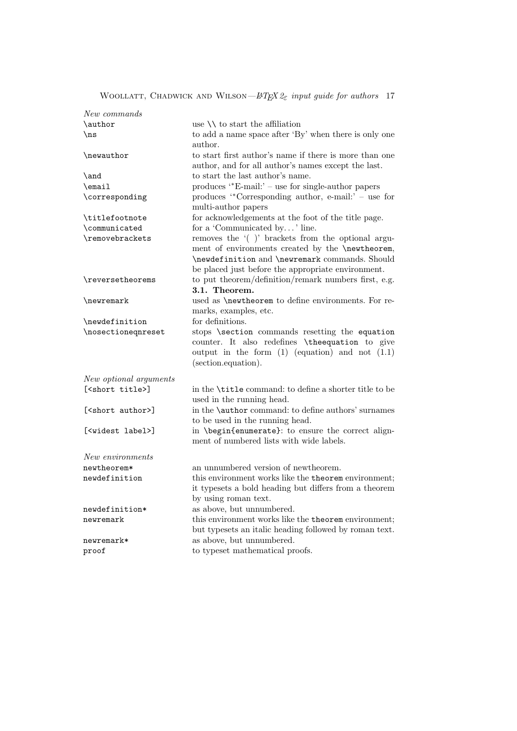| New commands                  |                                                                            |
|-------------------------------|----------------------------------------------------------------------------|
| \author                       | use $\setminus \setminus$ to start the affiliation                         |
| $\ln s$                       | to add a name space after 'By' when there is only one                      |
|                               | author.                                                                    |
| \newauthor                    | to start first author's name if there is more than one                     |
|                               | author, and for all author's names except the last.                        |
| \and                          | to start the last author's name.                                           |
| \email                        | produces $*E$ -mail: $-$ use for single-author papers                      |
| \corresponding                | produces "Corresponding author, e-mail:' - use for                         |
|                               | multi-author papers                                                        |
| \titlefootnote                | for acknowledgements at the foot of the title page.                        |
| \communicated                 | for a 'Communicated by' line.                                              |
| \removebrackets               | removes the '()' brackets from the optional argu-                          |
|                               | ment of environments created by the \newtheorem,                           |
|                               | \newdefinition and \newremark commands. Should                             |
|                               | be placed just before the appropriate environment.                         |
| \reversetheorems              | to put theorem/definition/remark numbers first, e.g.                       |
|                               | 3.1. Theorem.                                                              |
| \newremark                    | used as <b>\newtheorem</b> to define environments. For re-                 |
|                               | marks, examples, etc.                                                      |
| \newdefinition                | for definitions.                                                           |
| \nosectioneqnreset            | stops \section commands resetting the equation                             |
|                               | counter. It also redefines \theequation to give                            |
|                               | output in the form $(1)$ (equation) and not $(1.1)$<br>(section.equation). |
|                               |                                                                            |
| New optional arguments        |                                                                            |
| [ <short title="">]</short>   | in the <b>\title</b> command: to define a shorter title to be              |
|                               | used in the running head.                                                  |
| [ <short author="">]</short>  | in the <b>\author</b> command: to define authors' surnames                 |
|                               | to be used in the running head.                                            |
| [ <widest label="">]</widest> | in \begin{enumerate}: to ensure the correct align-                         |
|                               | ment of numbered lists with wide labels.                                   |
| New environments              |                                                                            |
| newtheorem*                   | an unnumbered version of newtheorem.                                       |
| newdefinition                 | this environment works like the theorem environment;                       |
|                               | it typesets a bold heading but differs from a theorem                      |
|                               | by using roman text.                                                       |
| newdefinition*                | as above, but unnumbered.                                                  |
| newremark                     | this environment works like the theorem environment;                       |
|                               | but typesets an italic heading followed by roman text.                     |
| newremark*                    | as above, but unnumbered.                                                  |
| proof                         | to typeset mathematical proofs.                                            |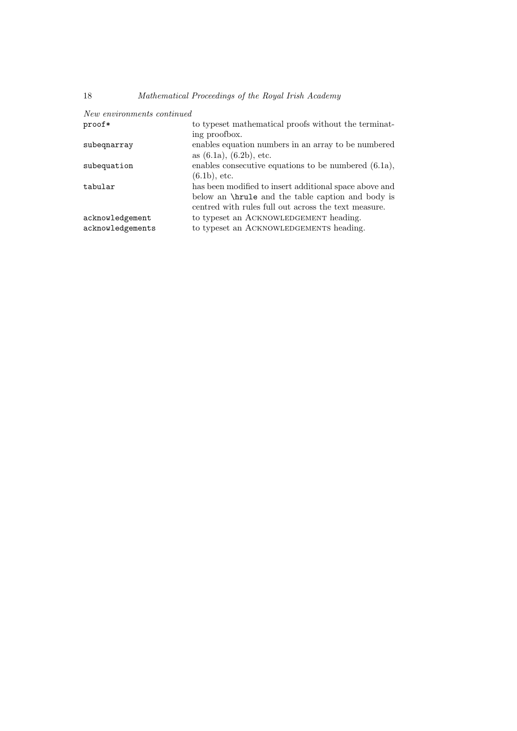| New environments continued |                                                          |
|----------------------------|----------------------------------------------------------|
| proof*                     | to typeset mathematical proofs without the terminat-     |
|                            | ing proofbox.                                            |
| subegnarray                | enables equation numbers in an array to be numbered      |
|                            | as $(6.1a)$ , $(6.2b)$ , etc.                            |
| subequation                | enables consecutive equations to be numbered $(6.1a)$ ,  |
|                            | $(6.1b)$ , etc.                                          |
| tabular                    | has been modified to insert additional space above and   |
|                            | below an <b>\hrule</b> and the table caption and body is |
|                            | centred with rules full out across the text measure.     |
| acknowledgement            | to typeset an ACKNOWLEDGEMENT heading.                   |
| acknowledgements           | to typeset an ACKNOWLEDGEMENTS heading.                  |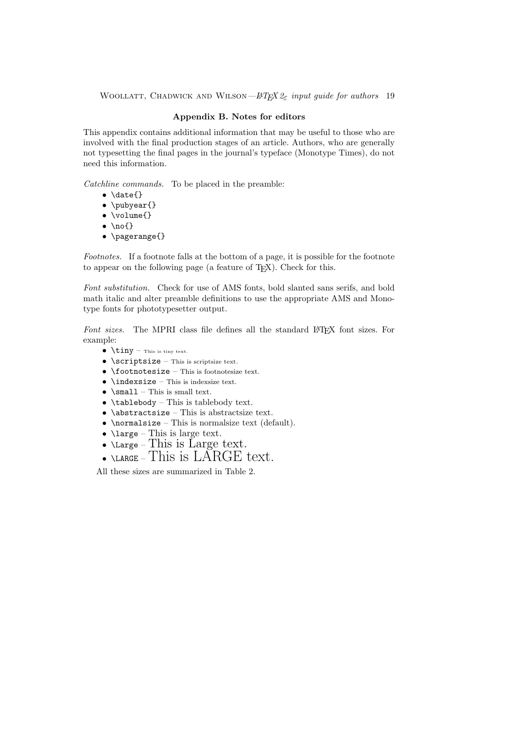# **Appendix B. Notes for editors**

This appendix contains additional information that may be useful to those who are involved with the final production stages of an article. Authors, who are generally not typesetting the final pages in the journal's typeface (Monotype Times), do not need this information.

*Catchline commands.* To be placed in the preamble:

- *•* \date{}
- *•* \pubyear{}
- *•* \volume{}
- *•* \no{}
- *•* \pagerange{}

*Footnotes.* If a footnote falls at the bottom of a page, it is possible for the footnote to appear on the following page (a feature of  $T<sub>F</sub><sub>X</sub>$ ). Check for this.

*Font substitution.* Check for use of AMS fonts, bold slanted sans serifs, and bold math italic and alter preamble definitions to use the appropriate AMS and Monotype fonts for phototypesetter output.

Font sizes. The MPRI class file defines all the standard L<sup>AT</sup>EX font sizes. For example:

- *•* \tiny This is tiny text.
- **\scriptsize** This is scriptsize text.
- *•* \footnotesize This is footnotesize text.
- *•* \indexsize This is indexsize text.
- \small This is small text.
- *•* \tablebody This is tablebody text.
- *•* \abstractsize This is abstractsize text.
- *•* \normalsize This is normalsize text (default).
- *•* \large This is large text.
- *•* \Large This is Large text.
- *•* \LARGE This is LARGE text.

All these sizes are summarized in Table 2.